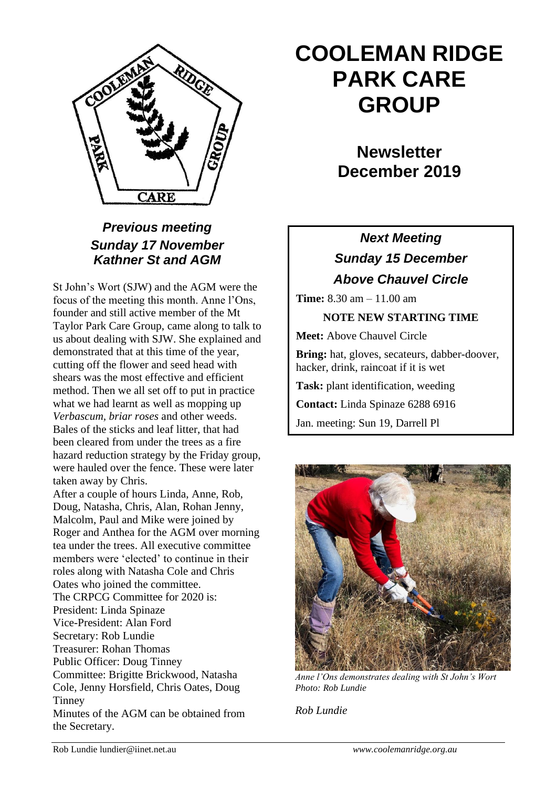

## *Previous meeting Sunday 17 November Kathner St and AGM*

St John's Wort (SJW) and the AGM were the focus of the meeting this month. Anne l'Ons, founder and still active member of the Mt Taylor Park Care Group, came along to talk to us about dealing with SJW. She explained and demonstrated that at this time of the year, cutting off the flower and seed head with shears was the most effective and efficient method. Then we all set off to put in practice what we had learnt as well as mopping up *Verbascum, briar roses* and other weeds. Bales of the sticks and leaf litter, that had been cleared from under the trees as a fire hazard reduction strategy by the Friday group, were hauled over the fence. These were later taken away by Chris.

After a couple of hours Linda, Anne, Rob, Doug, Natasha, Chris, Alan, Rohan Jenny, Malcolm, Paul and Mike were joined by Roger and Anthea for the AGM over morning tea under the trees. All executive committee members were 'elected' to continue in their roles along with Natasha Cole and Chris Oates who joined the committee. The CRPCG Committee for 2020 is: President: Linda Spinaze Vice-President: Alan Ford Secretary: Rob Lundie Treasurer: Rohan Thomas Public Officer: Doug Tinney Committee: Brigitte Brickwood, Natasha Cole, Jenny Horsfield, Chris Oates, Doug Tinney Minutes of the AGM can be obtained from the Secretary.

# **COOLEMAN RIDGE PARK CARE GROUP**

**Newsletter December 2019** 

## *Next Meeting Sunday 15 December Above Chauvel Circle*

**Time:** 8.30 am – 11.00 am

### **NOTE NEW STARTING TIME**

**Meet:** Above Chauvel Circle

**Bring:** hat, gloves, secateurs, dabber-doover, hacker, drink, raincoat if it is wet

**Task:** plant identification, weeding

**Contact:** Linda Spinaze 6288 6916

Jan. meeting: Sun 19, Darrell Pl



*Anne l'Ons demonstrates dealing with St John's Wort Photo: Rob Lundie*

*Rob Lundie*